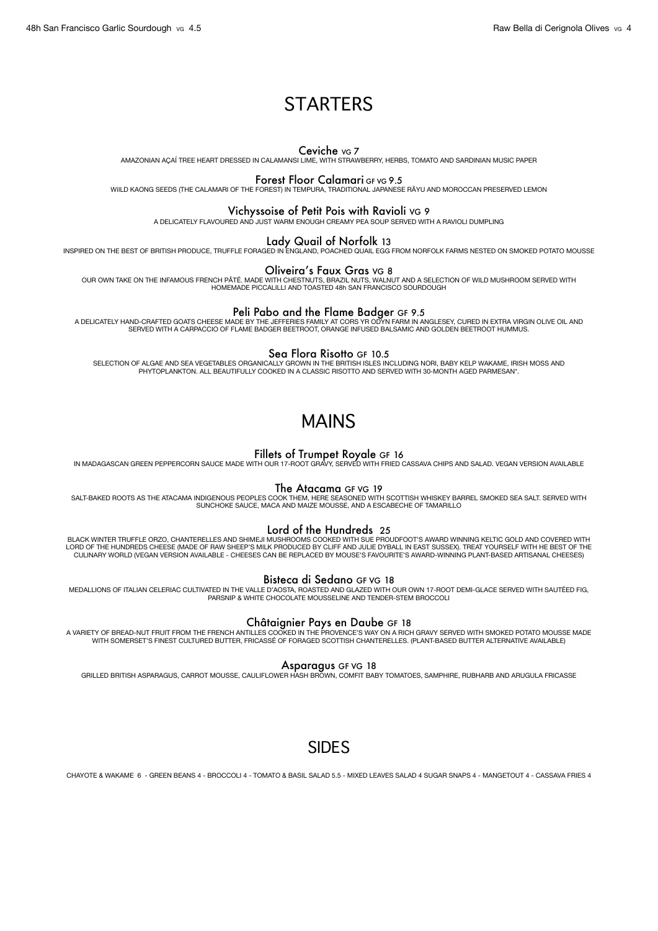# **STARTERS**

Ceviche VG 7 AMAZONIAN AÇAÍ TREE HEART DRESSED IN CALAMANSI LIME, WITH STRAWBERRY, HERBS, TOMATO AND SARDINIAN MUSIC PAPER

### Forest Floor Calamari GF VG 9.5

WiILD KAONG SEEDS (THE CALAMARI OF THE FOREST) IN TEMPURA, TRADITIONAL JAPANESE RÃYU AND MOROCCAN PRESERVED LEMON

## Vichyssoise of Petit Pois with Ravioli VG 9

A DELICATELY FLAVOURED AND JUST WARM ENOUGH CREAMY PEA SOUP SERVED WITH A RAVIOLI DUMPLING

INSPIRED ON THE BEST OF BRITISH PRODUCE, TRUFFLE FORAGED IN ENGLAND, POACHED QUAIL EGG FROM NORFOLK FARMS NESTED ON SMOKED POTATO MOUSSE

### Oliveira's Faux Gras VG 8

OUR OWN TAKE ON THE INFAMOUS FRENCH PÂTÉ. MADE WITH CHESTNUTS, BRAZIL NUTS, WALNUT AND A SELECTION OF WILD MUSHROOM SERVED WITH HOMEMADE PICCALILLI AND TOASTED 48h SAN FRANCISCO SOURDOUGH

Peli Pabo and the Flame Badger GF 9.5<br>A DELICATELY HAND-CRAFTED GOATS CHEESE MADE BY THE JEFFERIES FAMILY AT CORS YR ODYN FARM IN ANGLESEY, CURED IN EXTRA VIRGIN OLIVE OIL AND<br>SERVED WITH A CARPACCIO OF FLAME BADGER BEETRO

Se**a Flora Risotto** GF 10.5<br>SELECTION OF ALGAE AND SEA VEGETABLES ORGANICALLY GROWN IN THE BRITISH ISLES INCLUDING NORI, BABY KELP WAKAME, IRISH MOSS AND<br>PHYTOPLANKTON. ALL BEAUTIFULLY COOKED IN A CLASSIC RISOTTO AND SERVE

# MAINS

**Fillets of Trumpet Royale** GF 16<br>IN MADAGASCAN GREEN PEPPERCORN SAUCE MADE WITH OUR 17-ROOT GRAVY, SERVED WITH FRIED CASSAVA CHIPS AND SALAD. VEGAN VERSION AVAILABLE

### The Atacama GF VG 19

SALT-BAKED ROOTS AS THE ATACAMA INDIGENOUS PEOPLES COOK THEM, HERE SEASONED WITH SCOTTISH WHISKEY BARREL SMOKED SEA SALT. SERVED WITH<br>SUNCHOKE SAUCE, MACA AND MAIZE MOUSSE, AND A ESCABECHE OF TAMARILLO

### Lord of the Hundreds 25

BLACK WINTER TRUFFLE ORZO, CHANTERELLES AND SHIMEJI MUSHROOMS COOKED WITH SUE PROUDFOOT'S AWARD WINNING KELTIC GOLD AND COVERED WITH<br>LORD OF THE HUNDREDS CHEESE (MADE OF RAW SHEEP'S MILK PRODUCED BY CLIFF AND JULIE DYBALL CULINARY WORLD (VEGAN VERSION AVAILABLE - CHEESES CAN BE REPLACED BY MOUSE'S FAVOURITE'S AWARD-WINNING PLANT-BASED ARTISANAL CHEESES)

### Bisteca di Sedano GF VG 18

MEDALLIONS OF ITALIAN CELERIAC CULTIVATED IN THE VALLE D'AOSTA, ROASTED AND GLAZED WITH OUR OWN 17-ROOT DEMI-GLACE SERVED WITH SAUTÉED FIG,<br>PARSNIP & WHITE CHOCOLATE MOUSSELINE AND TENDER-STEM BROCCOLI

### Châtaignier Pays en Daube GF 18

A VARIETY OF BREAD-NUT FRUIT FROM THE FRENCH ANTILLES COOKED IN THE PROVENCE'S WAY ON A RICH GRAVY SERVED WITH SMOKED POTATO MOUSSE MADE<br>WITH SOMERSET'S FINEST CULTURED BUTTER, FRICASSÉ OF FORAGED SCOTTISH CHANTERELLES. (P

### Asparagus GF VG 18

GRILLED BRITISH ASPARAGUS, CARROT MOUSSE, CAULIFLOWER HASH BROWN, COMFIT BABY TOMATOES, SAMPHIRE, RUBHARB AND ARUGULA FRICASSE

# SIDES

CHAYOTE & WAKAME 6 - GREEN BEANS 4 - BROCCOLI 4 - TOMATO & BASIL SALAD 5.5 - MIXED LEAVES SALAD 4 SUGAR SNAPS 4 - MANGETOUT 4 - CASSAVA FRIES 4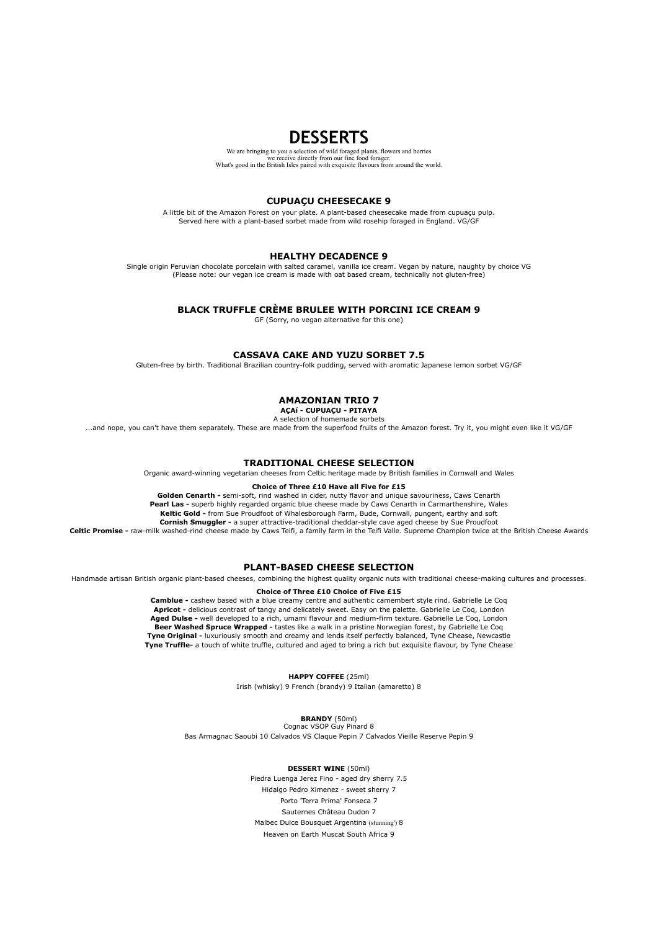## **DESSERTS**

We are bringing to you a selection of wild foraged plants, flowers and berries we receive directly from our fine food forager. What's good in the British Isles paired with exquisite flavours from around the world.

### **CUPUAÇU CHEESECAKE 9**

A little bit of the Amazon Forest on your plate. A plant-based cheesecake made from cupuaçu pulp. Served here with a plant-based sorbet made from wild rosehip foraged in England. VG/GF

### **HEALTHY DECADENCE 9**

Single origin Peruvian chocolate porcelain with salted caramel, vanilla ice cream. Vegan by nature, naughty by choice VG (Please note: our vegan ice cream is made with oat based cream, technically not gluten-free)

### **BLACK TRUFFLE CRÈME BRULEE WITH PORCINI ICE CREAM 9**

GF (Sorry, no vegan alternative for this one)

### **CASSAVA CAKE AND YUZU SORBET 7.5**

Gluten-free by birth. Traditional Brazilian country-folk pudding, served with aromatic Japanese lemon sorbet VG/GF

### **AMAZONIAN TRIO 7**

**AÇAí - CUPUAÇU - PITAYA**  A selection of homemade sorbets

...and nope, you can't have them separately. These are made from the superfood fruits of the Amazon forest. Try it, you might even like it VG/GF

### **TRADITIONAL CHEESE SELECTION**

Organic award-winning vegetarian cheeses from Celtic heritage made by British families in Cornwall and Wales

### **Choice of Three £10 Have all Five for £15**

**Golden Cenarth -** semi-soft, rind washed in cider, nutty flavor and unique savouriness, Caws Cenarth **Pearl Las -** superb highly regarded organic blue cheese made by Caws Cenarth in Carmarthenshire, Wales **Keltic Gold -** from Sue Proudfoot of Whalesborough Farm, Bude, Cornwall, pungent, earthy and soft **Cornish Smuggler -** a super attractive-traditional cheddar-style cave aged cheese by Sue Proudfoot

**Celtic Promise -** raw-milk washed-rind cheese made by Caws Teifi, a family farm in the Teifi Valle. Supreme Champion twice at the British Cheese Awards

### **PLANT-BASED CHEESE SELECTION**

Handmade artisan British organic plant-based cheeses, combining the highest quality organic nuts with traditional cheese-making cultures and processes.

**Choice of Three £10 Choice of Five £15** 

**Camblue -** cashew based with a blue creamy centre and authentic camembert style rind. Gabrielle Le Coq **Apricot -** delicious contrast of tangy and delicately sweet. Easy on the palette. Gabrielle Le Coq, London **Aged Dulse -** well developed to a rich, umami flavour and medium-firm texture. Gabrielle Le Coq, London **Beer Washed Spruce Wrapped -** tastes like a walk in a pristine Norwegian forest, by Gabrielle Le Coq **Tyne Original -** luxuriously smooth and creamy and lends itself perfectly balanced, Tyne Chease, Newcastle **Tyne Truffle-** a touch of white truffle, cultured and aged to bring a rich but exquisite flavour, by Tyne Chease

**HAPPY COFFEE** (25ml)

Irish (whisky) 9 French (brandy) 9 Italian (amaretto) 8

**BRANDY** (50ml) Cognac VSOP Guy Pinard 8

Bas Armagnac Saoubi 10 Calvados VS Claque Pepin 7 Calvados Vieille Reserve Pepin 9

### **DESSERT WINE** (50ml)

Piedra Luenga Jerez Fino - aged dry sherry 7.5 Hidalgo Pedro Ximenez - sweet sherry 7 Porto 'Terra Prima' Fonseca 7 Sauternes Château Dudon 7 Malbec Dulce Bousquet Argentina (stunning') 8 Heaven on Earth Muscat South Africa 9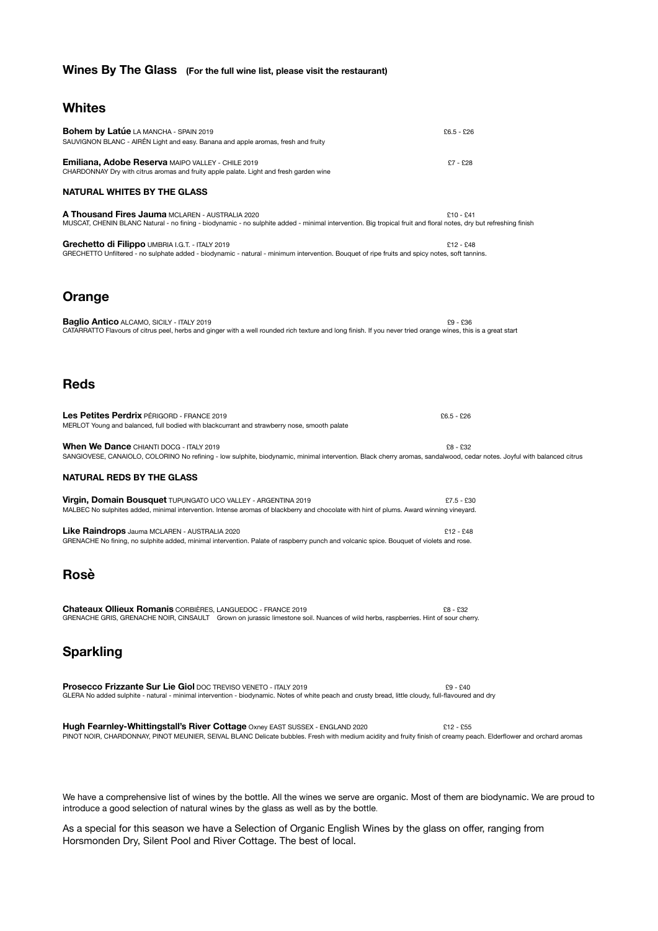## **Wines By The Glass (For the full wine list, please visit the restaurant)**

## **Whites**

| <b>Bohem by Latúe LA MANCHA - SPAIN 2019</b><br>SAUVIGNON BLANC - AIRÉN Light and easy. Banana and apple aromas, fresh and fruity                                                                                                                 | $£6.5 - £26$ |
|---------------------------------------------------------------------------------------------------------------------------------------------------------------------------------------------------------------------------------------------------|--------------|
| <b>Emiliana, Adobe Reserva MAIPO VALLEY - CHILE 2019</b><br>CHARDONNAY Dry with citrus aromas and fruity apple palate. Light and fresh garden wine                                                                                                | £7 - £28     |
| <b>NATURAL WHITES BY THE GLASS</b>                                                                                                                                                                                                                |              |
| <b>A Thousand Fires Jauma MCLAREN - AUSTRALIA 2020</b><br>MUSCAT, CHENIN BLANC Natural - no fining - biodynamic - no sulphite added - minimal intervention. Big tropical fruit and floral notes, dry but refreshing finish                        | £10 - £41    |
| Grechetto di Filippo UMBRIA I.G.T. - ITALY 2019<br>GRECHETTO Unfiltered - no sulphate added - biodynamic - natural - minimum intervention. Bouquet of ripe fruits and spicy notes, soft tannins.                                                  | $£12 - £48$  |
| Orange                                                                                                                                                                                                                                            |              |
| <b>Baglio Antico ALCAMO, SICILY - ITALY 2019</b><br>CATARRATTO Flavours of citrus peel, herbs and ginger with a well rounded rich texture and long finish. If you never tried orange wines, this is a great start                                 | £9 - £36     |
| <b>Reds</b>                                                                                                                                                                                                                                       |              |
| Les Petites Perdrix PÉRIGORD - FRANCE 2019<br>MERLOT Young and balanced, full bodied with blackcurrant and strawberry nose, smooth palate                                                                                                         | $£6.5 - £26$ |
| When We Dance CHIANTI DOCG - ITALY 2019<br>SANGIOVESE, CANAIOLO, COLORINO No refining - low sulphite, biodynamic, minimal intervention. Black cherry aromas, sandalwood, cedar notes. Joyful with balanced citrus                                 | £8 - £32     |
| <b>NATURAL REDS BY THE GLASS</b>                                                                                                                                                                                                                  |              |
| Virgin, Domain Bousquet TUPUNGATO UCO VALLEY - ARGENTINA 2019<br>MALBEC No sulphites added, minimal intervention. Intense aromas of blackberry and chocolate with hint of plums. Award winning vineyard.                                          | £7.5 - £30   |
| <b>Like Raindrops</b> Jauma MCLAREN - AUSTRALIA 2020<br>GRENACHE No fining, no sulphite added, minimal intervention. Palate of raspberry punch and volcanic spice. Bouquet of violets and rose.                                                   | £12 - £48    |
| Rosè                                                                                                                                                                                                                                              |              |
| <b>Chateaux Ollieux Romanis CORBIÈRES, LANGUEDOC - FRANCE 2019</b><br>GRENACHE GRIS, GRENACHE NOIR, CINSAULT Grown on jurassic limestone soil. Nuances of wild herbs, raspberries. Hint of sour cherry.                                           | £8 - £32     |
| <b>Sparkling</b>                                                                                                                                                                                                                                  |              |
| <b>Prosecco Frizzante Sur Lie Giol DOC TREVISO VENETO - ITALY 2019</b><br>GLERA No added sulphite - natural - minimal intervention - biodynamic. Notes of white peach and crusty bread, little cloudy, full-flavoured and dry                     | $£9 - £40$   |
| Hugh Fearnley-Whittingstall's River Cottage Oxney EAST SUSSEX - ENGLAND 2020<br>PINOT NOIR, CHARDONNAY, PINOT MEUNIER, SEIVAL BLANC Delicate bubbles. Fresh with medium acidity and fruity finish of creamy peach. Elderflower and orchard aromas | $£12 - £55$  |
|                                                                                                                                                                                                                                                   |              |

We have a comprehensive list of wines by the bottle. All the wines we serve are organic. Most of them are biodynamic. We are proud to introduce a good selection of natural wines by the glass as well as by the bottle.

As a special for this season we have a Selection of Organic English Wines by the glass on offer, ranging from Horsmonden Dry, Silent Pool and River Cottage. The best of local.